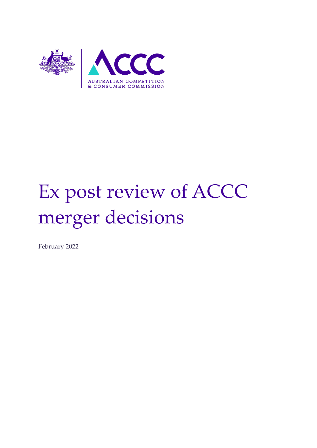

# Ex post review of ACCC merger decisions

February 2022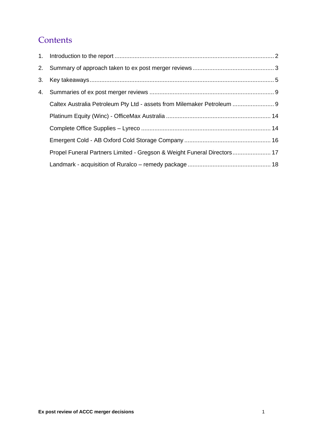# **Contents**

| 3. |                                                                         |  |
|----|-------------------------------------------------------------------------|--|
|    |                                                                         |  |
|    | Caltex Australia Petroleum Pty Ltd - assets from Milemaker Petroleum  9 |  |
|    |                                                                         |  |
|    |                                                                         |  |
|    |                                                                         |  |
|    | Propel Funeral Partners Limited - Gregson & Weight Funeral Directors 17 |  |
|    |                                                                         |  |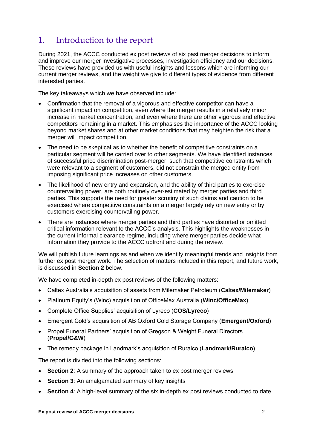# <span id="page-2-0"></span>1. Introduction to the report

During 2021, the ACCC conducted ex post reviews of six past merger decisions to inform and improve our merger investigative processes, investigation efficiency and our decisions. These reviews have provided us with useful insights and lessons which are informing our current merger reviews, and the weight we give to different types of evidence from different interested parties.

The key takeaways which we have observed include:

- Confirmation that the removal of a vigorous and effective competitor can have a significant impact on competition, even where the merger results in a relatively minor increase in market concentration, and even where there are other vigorous and effective competitors remaining in a market. This emphasises the importance of the ACCC looking beyond market shares and at other market conditions that may heighten the risk that a merger will impact competition.
- The need to be skeptical as to whether the benefit of competitive constraints on a particular segment will be carried over to other segments. We have identified instances of successful price discrimination post-merger, such that competitive constraints which were relevant to a segment of customers, did not constrain the merged entity from imposing significant price increases on other customers.
- The likelihood of new entry and expansion, and the ability of third parties to exercise countervailing power, are both routinely over-estimated by merger parties and third parties. This supports the need for greater scrutiny of such claims and caution to be exercised where competitive constraints on a merger largely rely on new entry or by customers exercising countervailing power.
- There are instances where merger parties and third parties have distorted or omitted critical information relevant to the ACCC's analysis. This highlights the weaknesses in the current informal clearance regime, including where merger parties decide what information they provide to the ACCC upfront and during the review.

We will publish future learnings as and when we identify meaningful trends and insights from further ex post merger work. The selection of matters included in this report, and future work, is discussed in **Section 2** below.

We have completed in-depth ex post reviews of the following matters:

- Caltex Australia's acquisition of assets from Milemaker Petroleum (**Caltex/Milemaker**)
- Platinum Equity's (Winc) acquisition of OfficeMax Australia (**Winc/OfficeMax**)
- Complete Office Supplies' acquisition of Lyreco (**COS/Lyreco**)
- Emergent Cold's acquisition of AB Oxford Cold Storage Company (**Emergent/Oxford**)
- Propel Funeral Partners' acquisition of Gregson & Weight Funeral Directors (**Propel/G&W**)
- The remedy package in Landmark's acquisition of Ruralco (**Landmark/Ruralco**).

The report is divided into the following sections:

- **Section 2**: A summary of the approach taken to ex post merger reviews
- **Section 3**: An amalgamated summary of key insights
- **Section 4**: A high-level summary of the six in-depth ex post reviews conducted to date.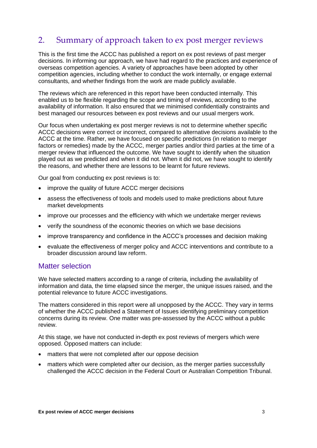# <span id="page-3-0"></span>2. Summary of approach taken to ex post merger reviews

This is the first time the ACCC has published a report on ex post reviews of past merger decisions. In informing our approach, we have had regard to the practices and experience of overseas competition agencies. A variety of approaches have been adopted by other competition agencies, including whether to conduct the work internally, or engage external consultants, and whether findings from the work are made publicly available.

The reviews which are referenced in this report have been conducted internally. This enabled us to be flexible regarding the scope and timing of reviews, according to the availability of information. It also ensured that we minimised confidentially constraints and best managed our resources between ex post reviews and our usual mergers work.

Our focus when undertaking ex post merger reviews is not to determine whether specific ACCC decisions were correct or incorrect, compared to alternative decisions available to the ACCC at the time. Rather, we have focused on specific predictions (in relation to merger factors or remedies) made by the ACCC, merger parties and/or third parties at the time of a merger review that influenced the outcome. We have sought to identify when the situation played out as we predicted and when it did not. When it did not, we have sought to identify the reasons, and whether there are lessons to be learnt for future reviews.

Our goal from conducting ex post reviews is to:

- improve the quality of future ACCC merger decisions
- assess the effectiveness of tools and models used to make predictions about future market developments
- improve our processes and the efficiency with which we undertake merger reviews
- verify the soundness of the economic theories on which we base decisions
- improve transparency and confidence in the ACCC's processes and decision making
- evaluate the effectiveness of merger policy and ACCC interventions and contribute to a broader discussion around law reform.

## Matter selection

We have selected matters according to a range of criteria, including the availability of information and data, the time elapsed since the merger, the unique issues raised, and the potential relevance to future ACCC investigations.

The matters considered in this report were all unopposed by the ACCC. They vary in terms of whether the ACCC published a Statement of Issues identifying preliminary competition concerns during its review. One matter was pre-assessed by the ACCC without a public review.

At this stage, we have not conducted in-depth ex post reviews of mergers which were opposed. Opposed matters can include:

- matters that were not completed after our oppose decision
- matters which were completed after our decision, as the merger parties successfully challenged the ACCC decision in the Federal Court or Australian Competition Tribunal.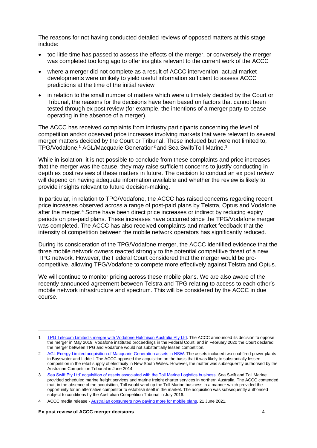The reasons for not having conducted detailed reviews of opposed matters at this stage include:

- too little time has passed to assess the effects of the merger, or conversely the merger was completed too long ago to offer insights relevant to the current work of the ACCC
- where a merger did not complete as a result of ACCC intervention, actual market developments were unlikely to yield useful information sufficient to assess ACCC predictions at the time of the initial review
- in relation to the small number of matters which were ultimately decided by the Court or Tribunal, the reasons for the decisions have been based on factors that cannot been tested through ex post review (for example, the intentions of a merger party to cease operating in the absence of a merger).

The ACCC has received complaints from industry participants concerning the level of competition and/or observed price increases involving markets that were relevant to several merger matters decided by the Court or Tribunal. These included but were not limited to, TPG/Vodafone,<sup>1</sup> AGL/Macquarie Generation<sup>2</sup> and Sea Swift/Toll Marine.<sup>3</sup>

While in isolation, it is not possible to conclude from these complaints and price increases that the merger was the cause, they may raise sufficient concerns to justify conducting indepth ex post reviews of these matters in future. The decision to conduct an ex post review will depend on having adequate information available and whether the review is likely to provide insights relevant to future decision-making.

In particular, in relation to TPG/Vodafone, the ACCC has raised concerns regarding recent price increases observed across a range of post-paid plans by Telstra, Optus and Vodafone after the merger.<sup>4</sup> Some have been direct price increases or indirect by reducing expiry periods on pre-paid plans. These increases have occurred since the TPG/Vodafone merger was completed. The ACCC has also received complaints and market feedback that the intensity of competition between the mobile network operators has significantly reduced.

During its consideration of the TPG/Vodafone merger, the ACCC identified evidence that the three mobile network owners reacted strongly to the potential competitive threat of a new TPG network. However, the Federal Court considered that the merger would be procompetitive, allowing TPG/Vodafone to compete more effectively against Telstra and Optus.

We will continue to monitor pricing across these mobile plans. We are also aware of the recently announced agreement between Telstra and TPG relating to access to each other's mobile network infrastructure and spectrum. This will be considered by the ACCC in due course.

#### **Ex post review of ACCC merger decisions** 4

<sup>1</sup> [TPG Telecom Limited's merger with Vodafone Hutchison Australia Pty Ltd.](https://www.judgments.fedcourt.gov.au/judgments/Judgments/fca/single/2020/2020fca0117) The ACCC announced its decision to oppose the merger in May 2019. Vodafone instituted proceedings in the Federal Court, and in February 2020 the Court declared the merger between TPG and Vodafone would not substantially lessen competition.

<sup>2</sup> [AGL Energy Limited acquisition of Macquarie Generation assets in NSW.](https://www.competitiontribunal.gov.au/decisions/year/2014/acompt-2014?sq_content_src=%2BdXJsPWh0dHBzJTNBJTJGJTJGd3d3Lmp1ZGdtZW50cy5mZWRjb3VydC5nb3YuYXUlMkZqdWRnbWVudHMlMkZKdWRnbWVudHMlMkZ0cmlidW5hbHMlMkZhY29tcHQlMkYyMDE0JTJGMjAxNGFjb21wdDAwMDEmYWxsPTE%3D) The assets included two coal-fired power plants in Bayswater and Liddell. The ACCC opposed the acquisition on the basis that it was likely to substantially lessen competition in the retail supply of electricity in New South Wales. However, the matter was subsequently authorised by the Australian Competition Tribunal in June 2014.

[Sea Swift Pty Ltd' acquisition of assets associated with the Toll Marine Logistics business.](https://www.competitiontribunal.gov.au/decisions/year/2016/acompt-2016?sq_content_src=%2BdXJsPWh0dHBzJTNBJTJGJTJGd3d3Lmp1ZGdtZW50cy5mZWRjb3VydC5nb3YuYXUlMkZqdWRnbWVudHMlMkZKdWRnbWVudHMlMkZ0cmlidW5hbHMlMkZhY29tcHQlMkYyMDE2JTJGMjAxNmFjb21wdDAwMDkmYWxsPTE%3D) Sea Swift and Toll Marine provided scheduled marine freight services and marine freight charter services in northern Australia. The ACCC contended that, in the absence of the acquisition, Toll would wind up the Toll Marine business in a manner which provided the opportunity for an alternative competitor to establish itself in the market. The acquisition was subsequently authorised subject to conditions by the Australian Competition Tribunal in July 2016.

<sup>4</sup> ACCC media release - [Australian consumers now paying more for mobile plans,](https://www.accc.gov.au/media-release/australian-consumers-now-paying-more-for-mobile-plans) 21 June 2021.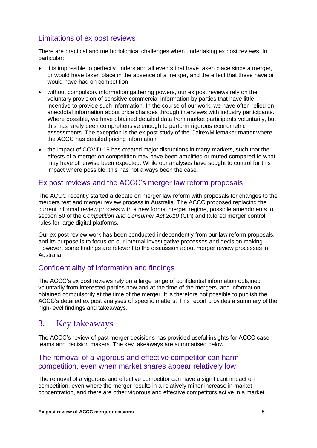# Limitations of ex post reviews

There are practical and methodological challenges when undertaking ex post reviews. In particular:

- it is impossible to perfectly understand all events that have taken place since a merger, or would have taken place in the absence of a merger, and the effect that these have or would have had on competition
- without compulsory information gathering powers, our ex post reviews rely on the voluntary provision of sensitive commercial information by parties that have little incentive to provide such information. In the course of our work, we have often relied on anecdotal information about price changes through interviews with industry participants. Where possible, we have obtained detailed data from market participants voluntarily, but this has rarely been comprehensive enough to perform rigorous econometric assessments. The exception is the ex post study of the Caltex/Milemaker matter where the ACCC has detailed pricing information
- the impact of COVID-19 has created major disruptions in many markets, such that the effects of a merger on competition may have been amplified or muted compared to what may have otherwise been expected. While our analyses have sought to control for this impact where possible, this has not always been the case.

# Ex post reviews and the ACCC's merger law reform proposals

The ACCC recently started a debate on merger law reform with proposals for changes to the mergers test and merger review process in Australia. The ACCC proposed replacing the current informal review process with a new formal merger regime, possible amendments to section 50 of the *Competition and Consumer Act 2010* (Cth) and tailored merger control rules for large digital platforms.

Our ex post review work has been conducted independently from our law reform proposals, and its purpose is to focus on our internal investigative processes and decision making. However, some findings are relevant to the discussion about merger review processes in Australia.

# Confidentiality of information and findings

The ACCC's ex post reviews rely on a large range of confidential information obtained voluntarily from interested parties now and at the time of the mergers, and information obtained compulsorily at the time of the merger. It is therefore not possible to publish the ACCC's detailed ex post analyses of specific matters. This report provides a summary of the high-level findings and takeaways.

# <span id="page-5-0"></span>3. Key takeaways

The ACCC's review of past merger decisions has provided useful insights for ACCC case teams and decision makers. The key takeaways are summarised below.

# The removal of a vigorous and effective competitor can harm competition, even when market shares appear relatively low

The removal of a vigorous and effective competitor can have a significant impact on competition, even where the merger results in a relatively minor increase in market concentration, and there are other vigorous and effective competitors active in a market.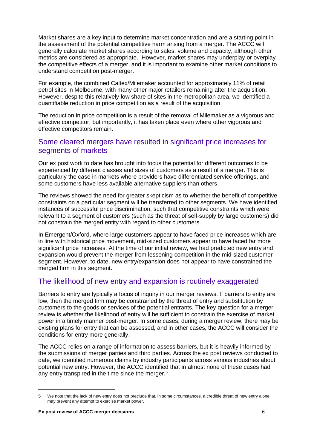Market shares are a key input to determine market concentration and are a starting point in the assessment of the potential competitive harm arising from a merger. The ACCC will generally calculate market shares according to sales, volume and capacity, although other metrics are considered as appropriate. However, market shares may underplay or overplay the competitive effects of a merger, and it is important to examine other market conditions to understand competition post-merger.

For example, the combined Caltex/Milemaker accounted for approximately 11% of retail petrol sites in Melbourne, with many other major retailers remaining after the acquisition. However, despite this relatively low share of sites in the metropolitan area, we identified a quantifiable reduction in price competition as a result of the acquisition.

The reduction in price competition is a result of the removal of Milemaker as a vigorous and effective competitor, but importantly, it has taken place even where other vigorous and effective competitors remain.

# Some cleared mergers have resulted in significant price increases for segments of markets

Our ex post work to date has brought into focus the potential for different outcomes to be experienced by different classes and sizes of customers as a result of a merger. This is particularly the case in markets where providers have differentiated service offerings, and some customers have less available alternative suppliers than others.

The reviews showed the need for greater skepticism as to whether the benefit of competitive constraints on a particular segment will be transferred to other segments. We have identified instances of successful price discrimination, such that competitive constraints which were relevant to a segment of customers (such as the threat of self-supply by large customers) did not constrain the merged entity with regard to other customers.

In Emergent/Oxford, where large customers appear to have faced price increases which are in line with historical price movement, mid-sized customers appear to have faced far more significant price increases. At the time of our initial review, we had predicted new entry and expansion would prevent the merger from lessening competition in the mid-sized customer segment. However, to date, new entry/expansion does not appear to have constrained the merged firm in this segment.

# The likelihood of new entry and expansion is routinely exaggerated

Barriers to entry are typically a focus of inquiry in our merger reviews. If barriers to entry are low, then the merged firm may be constrained by the threat of entry and substitution by customers to the goods or services of the potential entrants. The key question for a merger review is whether the likelihood of entry will be sufficient to constrain the exercise of market power in a timely manner post-merger. In some cases, during a merger review, there may be existing plans for entry that can be assessed, and in other cases, the ACCC will consider the conditions for entry more generally.

The ACCC relies on a range of information to assess barriers, but it is heavily informed by the submissions of merger parties and third parties. Across the ex post reviews conducted to date, we identified numerous claims by industry participants across various industries about potential new entry. However, the ACCC identified that in almost none of these cases had any entry transpired in the time since the merger.<sup>5</sup>

<sup>5</sup> We note that the lack of new entry does not preclude that, in some circumstances, a credible threat of new entry alone may prevent any attempt to exercise market power.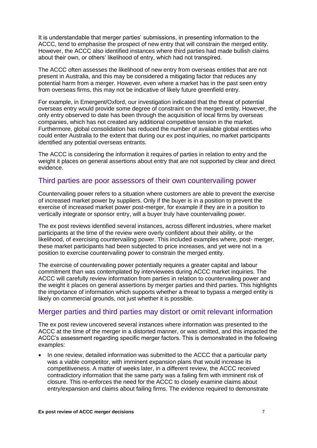It is understandable that merger parties' submissions, in presenting information to the ACCC, tend to emphasise the prospect of new entry that will constrain the merged entity. However, the ACCC also identified instances where third parties had made bullish claims about their own, or others' likelihood of entry, which had not transpired.

The ACCC often assesses the likelihood of new entry from overseas entities that are not present in Australia, and this may be considered a mitigating factor that reduces any potential harm from a merger. However, even where a market has in the past seen entry from overseas firms, this may not be indicative of likely future greenfield entry.

For example, in Emergent/Oxford, our investigation indicated that the threat of potential overseas entry would provide some degree of constraint on the merged entity. However, the only entry observed to date has been through the acquisition of local firms by overseas companies, which has not created any additional competitive tension in the market. Furthermore, global consolidation has reduced the number of available global entities who could enter Australia to the extent that during our ex post inquiries, no market participants identified any potential overseas entrants.

The ACCC is considering the information it requires of parties in relation to entry and the weight it places on general assertions about entry that are not supported by clear and direct evidence.

# Third parties are poor assessors of their own countervailing power

Countervailing power refers to a situation where customers are able to prevent the exercise of increased market power by suppliers. Only if the buyer is in a position to prevent the exercise of increased market power post-merger, for example if they are in a position to vertically integrate or sponsor entry, will a buyer truly have countervailing power.

The ex post reviews identified several instances, across different industries, where market participants at the time of the review were overly confident about their ability, or the likelihood, of exercising countervailing power. This included examples where, post- merger, these market participants had been subjected to price increases, and yet were not in a position to exercise countervailing power to constrain the merged entity.

The exercise of countervailing power potentially requires a greater capital and labour commitment than was contemplated by interviewees during ACCC market inquiries. The ACCC will carefully review information from parties in relation to countervailing power and the weight it places on general assertions by merger parties and third parties. This highlights the importance of information which supports whether a threat to bypass a merged entity is likely on commercial grounds, not just whether it is possible.

# Merger parties and third parties may distort or omit relevant information

The ex post review uncovered several instances where information was presented to the ACCC at the time of the merger in a distorted manner, or was omitted, and this impacted the ACCC's assessment regarding specific merger factors. This is demonstrated in the following examples:

• In one review, detailed information was submitted to the ACCC that a particular party was a viable competitor, with imminent expansion plans that would increase its competitiveness. A matter of weeks later, in a different review, the ACCC received contradictory information that the same party was a failing firm with imminent risk of closure. This re-enforces the need for the ACCC to closely examine claims about entry/expansion and claims about failing firms. The evidence required to demonstrate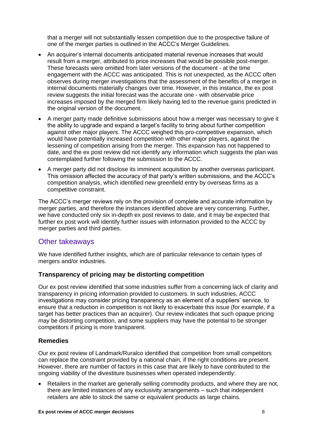that a merger will not substantially lessen competition due to the prospective failure of one of the merger parties is outlined in the ACCC's Merger Guidelines.

- An acquirer's internal documents anticipated material revenue increases that would result from a merger, attributed to price increases that would be possible post-merger. These forecasts were omitted from later versions of the document - at the time engagement with the ACCC was anticipated. This is not unexpected, as the ACCC often observes during merger investigations that the assessment of the benefits of a merger in internal documents materially changes over time. However, in this instance, the ex post review suggests the initial forecast was the accurate one - with observable price increases imposed by the merged firm likely having led to the revenue gains predicted in the original version of the document.
- A merger party made definitive submissions about how a merger was necessary to give it the ability to upgrade and expand a target's facility to bring about further competition against other major players. The ACCC weighed this pro-competitive expansion, which would have potentially increased competition with other major players, against the lessening of competition arising from the merger. This expansion has not happened to date, and the ex post review did not identify any information which suggests the plan was contemplated further following the submission to the ACCC.
- A merger party did not disclose its imminent acquisition by another overseas participant. This omission affected the accuracy of that party's written submissions, and the ACCC's competition analysis, which identified new greenfield entry by overseas firms as a competitive constraint.

The ACCC's merger reviews rely on the provision of complete and accurate information by merger parties, and therefore the instances identified above are very concerning. Further, we have conducted only six in-depth ex post reviews to date, and it may be expected that further ex post work will identify further issues with information provided to the ACCC by merger parties and third parties.

# Other takeaways

We have identified further insights, which are of particular relevance to certain types of mergers and/or industries.

#### **Transparency of pricing may be distorting competition**

Our ex post review identified that some industries suffer from a concerning lack of clarity and transparency in pricing information provided to customers. In such industries, ACCC investigations may consider pricing transparency as an element of a suppliers' service, to ensure that a reduction in competition is not likely to exacerbate this issue (for example, if a target has better practices than an acquirer). Our review indicates that such opaque pricing may be distorting competition, and some suppliers may have the potential to be stronger competitors if pricing is more transparent.

## **Remedies**

Our ex post review of Landmark/Ruralco identified that competition from small competitors can replace the constraint provided by a national chain, if the right conditions are present. However, there are number of factors in this case that are likely to have contributed to the ongoing viability of the divestiture businesses when operated independently:

• Retailers in the market are generally selling commodity products, and where they are not, there are limited instances of any exclusivity arrangements – such that independent retailers are able to stock the same or equivalent products as large chains.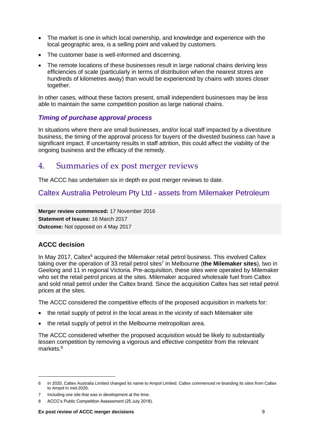- The market is one in which local ownership, and knowledge and experience with the local geographic area, is a selling point and valued by customers.
- The customer base is well-informed and discerning.
- The remote locations of these businesses result in large national chains deriving less efficiencies of scale (particularly in terms of distribution when the nearest stores are hundreds of kilometres away) than would be experienced by chains with stores closer together.

In other cases, without these factors present, small independent businesses may be less able to maintain the same competition position as large national chains.

## *Timing of purchase approval process*

In situations where there are small businesses, and/or local staff impacted by a divestiture business, the timing of the approval process for buyers of the divested business can have a significant impact. If uncertainty results in staff attrition, this could affect the viability of the ongoing business and the efficacy of the remedy.

# <span id="page-9-0"></span>4. Summaries of ex post merger reviews

The ACCC has undertaken six in depth ex post merger reviews to date.

# <span id="page-9-1"></span>Caltex Australia Petroleum Pty Ltd - assets from Milemaker Petroleum

**Merger review commenced:** 17 November 2016 **Statement of Issues:** 16 March 2017 **Outcome:** Not opposed on 4 May 2017

## **ACCC decision**

In May 2017, Caltex $6$  acquired the Milemaker retail petrol business. This involved Caltex taking over the operation of 33 retail petrol sites<sup>7</sup> in Melbourne (the Milemaker sites), two in Geelong and 11 in regional Victoria. Pre-acquisition, these sites were operated by Milemaker who set the retail petrol prices at the sites. Milemaker acquired wholesale fuel from Caltex and sold retail petrol under the Caltex brand. Since the acquisition Caltex has set retail petrol prices at the sites.

The ACCC considered the competitive effects of the proposed acquisition in markets for:

- the retail supply of petrol in the local areas in the vicinity of each Milemaker site
- the retail supply of petrol in the Melbourne metropolitan area.

The ACCC considered whether the proposed acquisition would be likely to substantially lessen competition by removing a vigorous and effective competitor from the relevant markets $8$ 

#### **Ex post review of ACCC merger decisions** 9

<sup>6</sup> In 2020, Caltex Australia Limited changed its name to Ampol Limited. Caltex commenced re-branding its sites from Caltex to Ampol in mid-2020.

<sup>7</sup> Including one site that was in development at the time.

<sup>8</sup> ACCC's Public Competition Assessment (25 July 2018).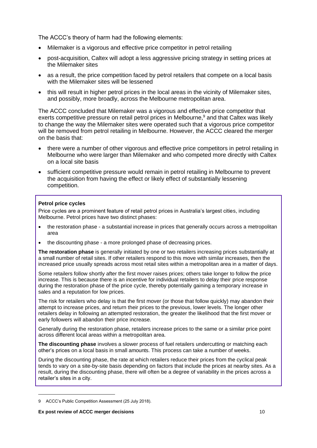The ACCC's theory of harm had the following elements:

- Milemaker is a vigorous and effective price competitor in petrol retailing
- post-acquisition, Caltex will adopt a less aggressive pricing strategy in setting prices at the Milemaker sites
- as a result, the price competition faced by petrol retailers that compete on a local basis with the Milemaker sites will be lessened
- this will result in higher petrol prices in the local areas in the vicinity of Milemaker sites, and possibly, more broadly, across the Melbourne metropolitan area.

The ACCC concluded that Milemaker was a vigorous and effective price competitor that exerts competitive pressure on retail petrol prices in Melbourne,<sup>9</sup> and that Caltex was likely to change the way the Milemaker sites were operated such that a vigorous price competitor will be removed from petrol retailing in Melbourne. However, the ACCC cleared the merger on the basis that:

- there were a number of other vigorous and effective price competitors in petrol retailing in Melbourne who were larger than Milemaker and who competed more directly with Caltex on a local site basis
- sufficient competitive pressure would remain in petrol retailing in Melbourne to prevent the acquisition from having the effect or likely effect of substantially lessening competition.

#### **Petrol price cycles**

Price cycles are a prominent feature of retail petrol prices in Australia's largest cities, including Melbourne. Petrol prices have two distinct phases:

- the restoration phase a substantial increase in prices that generally occurs across a metropolitan area
- the discounting phase a more prolonged phase of decreasing prices.

**The restoration phase** is generally initiated by one or two retailers increasing prices substantially at a small number of retail sites. If other retailers respond to this move with similar increases, then the increased price usually spreads across most retail sites within a metropolitan area in a matter of days.

Some retailers follow shortly after the first mover raises prices; others take longer to follow the price increase. This is because there is an incentive for individual retailers to delay their price response during the restoration phase of the price cycle, thereby potentially gaining a temporary increase in sales and a reputation for low prices.

The risk for retailers who delay is that the first mover (or those that follow quickly) may abandon their attempt to increase prices, and return their prices to the previous, lower levels. The longer other retailers delay in following an attempted restoration, the greater the likelihood that the first mover or early followers will abandon their price increase.

Generally during the restoration phase, retailers increase prices to the same or a similar price point across different local areas within a metropolitan area.

**The discounting phase** involves a slower process of fuel retailers undercutting or matching each other's prices on a local basis in small amounts. This process can take a number of weeks.

During the discounting phase, the rate at which retailers reduce their prices from the cyclical peak tends to vary on a site-by-site basis depending on factors that include the prices at nearby sites. As a result, during the discounting phase, there will often be a degree of variability in the prices across a retailer's sites in a city.

<sup>9</sup> ACCC's Public Competition Assessment (25 July 2018).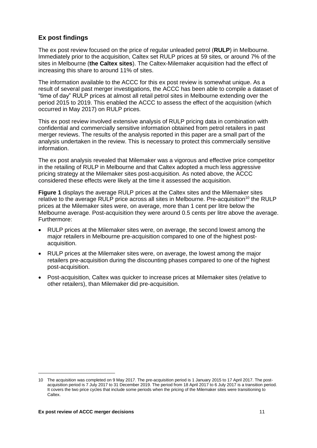# **Ex post findings**

The ex post review focused on the price of regular unleaded petrol (**RULP**) in Melbourne. Immediately prior to the acquisition, Caltex set RULP prices at 59 sites, or around 7% of the sites in Melbourne (**the Caltex sites**). The Caltex-Milemaker acquisition had the effect of increasing this share to around 11% of sites.

The information available to the ACCC for this ex post review is somewhat unique. As a result of several past merger investigations, the ACCC has been able to compile a dataset of "time of day" RULP prices at almost all retail petrol sites in Melbourne extending over the period 2015 to 2019. This enabled the ACCC to assess the effect of the acquisition (which occurred in May 2017) on RULP prices.

This ex post review involved extensive analysis of RULP pricing data in combination with confidential and commercially sensitive information obtained from petrol retailers in past merger reviews. The results of the analysis reported in this paper are a small part of the analysis undertaken in the review. This is necessary to protect this commercially sensitive information.

The ex post analysis revealed that Milemaker was a vigorous and effective price competitor in the retailing of RULP in Melbourne and that Caltex adopted a much less aggressive pricing strategy at the Milemaker sites post-acquisition. As noted above, the ACCC considered these effects were likely at the time it assessed the acquisition.

**Figure 1** displays the average RULP prices at the Caltex sites and the Milemaker sites relative to the average RULP price across all sites in Melbourne. Pre-acquisition<sup>10</sup> the RULP prices at the Milemaker sites were, on average, more than 1 cent per litre below the Melbourne average. Post-acquisition they were around 0.5 cents per litre above the average. Furthermore:

- RULP prices at the Milemaker sites were, on average, the second lowest among the major retailers in Melbourne pre-acquisition compared to one of the highest postacquisition.
- RULP prices at the Milemaker sites were, on average, the lowest among the major retailers pre-acquisition during the discounting phases compared to one of the highest post-acquisition.
- Post-acquisition, Caltex was quicker to increase prices at Milemaker sites (relative to other retailers), than Milemaker did pre-acquisition.

<sup>10</sup> The acquisition was completed on 9 May 2017. The pre-acquisition period is 1 January 2015 to 17 April 2017. The postacquisition period is 7 July 2017 to 31 December 2019. The period from 18 April 2017 to 6 July 2017 is a transition period. It covers the two price cycles that include some periods when the pricing of the Milemaker sites were transitioning to Caltex.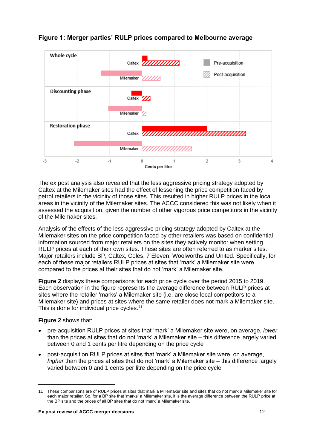

# **Figure 1: Merger parties' RULP prices compared to Melbourne average**

The ex post analysis also revealed that the less aggressive pricing strategy adopted by Caltex at the Milemaker sites had the effect of lessening the price competition faced by petrol retailers in the vicinity of those sites. This resulted in higher RULP prices in the local areas in the vicinity of the Milemaker sites. The ACCC considered this was not likely when it assessed the acquisition, given the number of other vigorous price competitors in the vicinity of the Milemaker sites.

Analysis of the effects of the less aggressive pricing strategy adopted by Caltex at the Milemaker sites on the price competition faced by other retailers was based on confidential information sourced from major retailers on the sites they actively monitor when setting RULP prices at each of their own sites. These sites are often referred to as marker sites. Major retailers include BP, Caltex, Coles, 7 Eleven, Woolworths and United. Specifically, for each of these major retailers RULP prices at sites that 'mark' a Milemaker site were compared to the prices at their sites that do not 'mark' a Milemaker site.

**Figure 2** displays these comparisons for each price cycle over the period 2015 to 2019. Each observation in the figure represents the average difference between RULP prices at sites where the retailer 'marks' a Milemaker site (i.e. are close local competitors to a Milemaker site) and prices at sites where the same retailer does not mark a Milemaker site. This is done for individual price cycles.<sup>11</sup>

#### **Figure 2** shows that:

- pre-acquisition RULP prices at sites that 'mark' a Milemaker site were, on average, *lower* than the prices at sites that do not 'mark' a Milemaker site – this difference largely varied between 0 and 1 cents per litre depending on the price cycle
- post-acquisition RULP prices at sites that 'mark' a Milemaker site were, on average, *higher* than the prices at sites that do not 'mark' a Milemaker site – this difference largely varied between 0 and 1 cents per litre depending on the price cycle.

<sup>11</sup> These comparisons are of RULP prices at sites that mark a Millemaker site and sites that do not mark a Milemaker site for each major retailer. So, for a BP site that 'marks' a Milemaker site, it is the average difference between the RULP price at the BP site and the prices of all BP sites that do not 'mark' a Milemaker site.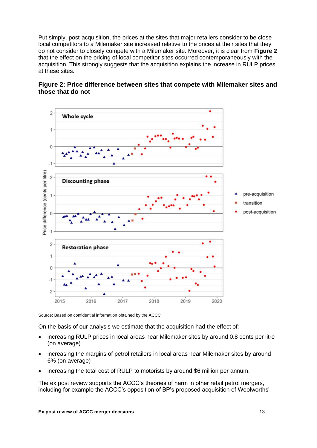Put simply, post-acquisition, the prices at the sites that major retailers consider to be close local competitors to a Milemaker site increased relative to the prices at their sites that they do not consider to closely compete with a Milemaker site. Moreover, it is clear from **Figure 2** that the effect on the pricing of local competitor sites occurred contemporaneously with the acquisition. This strongly suggests that the acquisition explains the increase in RULP prices at these sites.



**Figure 2: Price difference between sites that compete with Milemaker sites and those that do not** 

Source: Based on confidential information obtained by the ACCC

On the basis of our analysis we estimate that the acquisition had the effect of:

- increasing RULP prices in local areas near Milemaker sites by around 0.8 cents per litre (on average)
- increasing the margins of petrol retailers in local areas near Milemaker sites by around 6% (on average)
- increasing the total cost of RULP to motorists by around \$6 million per annum.

The ex post review supports the ACCC's theories of harm in other retail petrol mergers, including for example the ACCC's opposition of BP's proposed acquisition of Woolworths'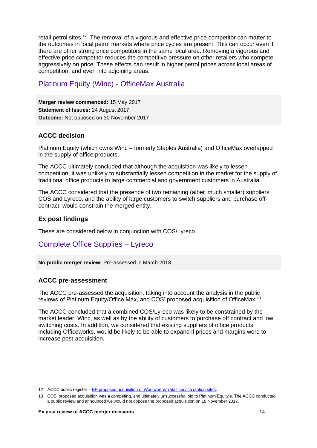retail petrol sites.<sup>12</sup> The removal of a vigorous and effective price competitor can matter to the outcomes in local petrol markets where price cycles are present. This can occur even if there are other strong price competitors in the same local area. Removing a vigorous and effective price competitor reduces the competitive pressure on other retailers who compete aggressively on price. These effects can result in higher petrol prices across local areas of competition, and even into adjoining areas.

# <span id="page-14-0"></span>Platinum Equity (Winc) - OfficeMax Australia

**Merger review commenced:** 15 May 2017 **Statement of Issues:** 24 August 2017 **Outcome:** Not opposed on 30 November 2017

# **ACCC decision**

Platinum Equity (which owns Winc – formerly Staples Australia) and OfficeMax overlapped in the supply of office products.

The ACCC ultimately concluded that although the acquisition was likely to lessen competition, it was unlikely to substantially lessen competition in the market for the supply of traditional office products to large commercial and government customers in Australia.

The ACCC considered that the presence of two remaining (albeit much smaller) suppliers COS and Lyreco, and the ability of large customers to switch suppliers and purchase offcontract, would constrain the merged entity.

# **Ex post findings**

These are considered below in conjunction with COS/Lyreco.

# <span id="page-14-1"></span>Complete Office Supplies – Lyreco

**No public merger review:** Pre-assessed in March 2018

## **ACCC pre-assessment**

The ACCC pre-assessed the acquisition, taking into account the analysis in the public reviews of Platinum Equity/Office Max, and COS' proposed acquisition of OfficeMax.<sup>13</sup>

The ACCC concluded that a combined COS/Lyreco was likely to be constrained by the market leader, Winc, as well as by the ability of customers to purchase off contract and low switching costs. In addition, we considered that existing suppliers of office products, including Officeworks, would be likely to be able to expand if prices and margins were to increase post-acquisition.

<sup>12</sup> ACCC public register – [BP proposed acquisition of Woolworths' retail service station sites.](https://www.accc.gov.au/public-registers/mergers-registers/public-informal-merger-reviews/bp-proposed-acquisition-of-woolworths-retail-service-station-sites)

<sup>13</sup> COS' proposed acquisition was a competing, and ultimately unsuccessful, bid to Platinum Equity's. The ACCC conducted a public review and announced we would not oppose the proposed acquisition on 16 November 2017.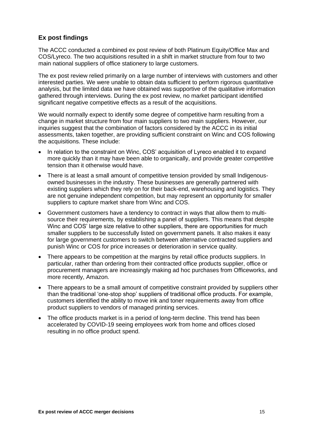## **Ex post findings**

The ACCC conducted a combined ex post review of both Platinum Equity/Office Max and COS/Lyreco. The two acquisitions resulted in a shift in market structure from four to two main national suppliers of office stationery to large customers.

The ex post review relied primarily on a large number of interviews with customers and other interested parties. We were unable to obtain data sufficient to perform rigorous quantitative analysis, but the limited data we have obtained was supportive of the qualitative information gathered through interviews. During the ex post review, no market participant identified significant negative competitive effects as a result of the acquisitions.

We would normally expect to identify some degree of competitive harm resulting from a change in market structure from four main suppliers to two main suppliers. However, our inquiries suggest that the combination of factors considered by the ACCC in its initial assessments, taken together, are providing sufficient constraint on Winc and COS following the acquisitions. These include:

- In relation to the constraint on Winc, COS' acquisition of Lyreco enabled it to expand more quickly than it may have been able to organically, and provide greater competitive tension than it otherwise would have.
- There is at least a small amount of competitive tension provided by small Indigenousowned businesses in the industry. These businesses are generally partnered with existing suppliers which they rely on for their back-end, warehousing and logistics. They are not genuine independent competition, but may represent an opportunity for smaller suppliers to capture market share from Winc and COS.
- Government customers have a tendency to contract in ways that allow them to multisource their requirements, by establishing a panel of suppliers. This means that despite Winc and COS' large size relative to other suppliers, there are opportunities for much smaller suppliers to be successfully listed on government panels. It also makes it easy for large government customers to switch between alternative contracted suppliers and punish Winc or COS for price increases or deterioration in service quality.
- There appears to be competition at the margins by retail office products suppliers. In particular, rather than ordering from their contracted office products supplier, office or procurement managers are increasingly making ad hoc purchases from Officeworks, and more recently, Amazon.
- There appears to be a small amount of competitive constraint provided by suppliers other than the traditional 'one-stop shop' suppliers of traditional office products. For example, customers identified the ability to move ink and toner requirements away from office product suppliers to vendors of managed printing services.
- The office products market is in a period of long-term decline. This trend has been accelerated by COVID-19 seeing employees work from home and offices closed resulting in no office product spend.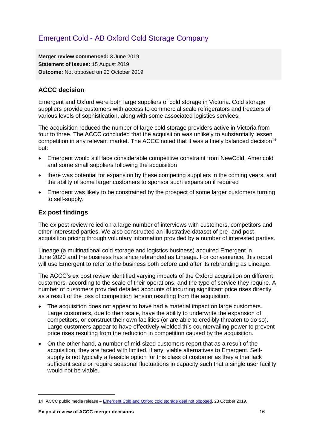# <span id="page-16-0"></span>Emergent Cold - AB Oxford Cold Storage Company

**Merger review commenced:** 3 June 2019 **Statement of Issues:** 15 August 2019 **Outcome:** Not opposed on 23 October 2019

# **ACCC decision**

Emergent and Oxford were both large suppliers of cold storage in Victoria. Cold storage suppliers provide customers with access to commercial scale refrigerators and freezers of various levels of sophistication, along with some associated logistics services.

The acquisition reduced the number of large cold storage providers active in Victoria from four to three. The ACCC concluded that the acquisition was unlikely to substantially lessen competition in any relevant market. The ACCC noted that it was a finely balanced decision<sup>14</sup> but:

- Emergent would still face considerable competitive constraint from NewCold, Americold and some small suppliers following the acquisition
- there was potential for expansion by these competing suppliers in the coming years, and the ability of some larger customers to sponsor such expansion if required
- Emergent was likely to be constrained by the prospect of some larger customers turning to self-supply.

### **Ex post findings**

The ex post review relied on a large number of interviews with customers, competitors and other interested parties. We also constructed an illustrative dataset of pre- and postacquisition pricing through voluntary information provided by a number of interested parties.

Lineage (a multinational cold storage and logistics business) acquired Emergent in June 2020 and the business has since rebranded as Lineage. For convenience, this report will use Emergent to refer to the business both before and after its rebranding as Lineage.

The ACCC's ex post review identified varying impacts of the Oxford acquisition on different customers, according to the scale of their operations, and the type of service they require. A number of customers provided detailed accounts of incurring significant price rises directly as a result of the loss of competition tension resulting from the acquisition.

- The acquisition does not appear to have had a material impact on large customers. Large customers, due to their scale, have the ability to underwrite the expansion of competitors, or construct their own facilities (or are able to credibly threaten to do so). Large customers appear to have effectively wielded this countervailing power to prevent price rises resulting from the reduction in competition caused by the acquisition.
- On the other hand, a number of mid-sized customers report that as a result of the acquisition, they are faced with limited, if any, viable alternatives to Emergent. Selfsupply is not typically a feasible option for this class of customer as they either lack sufficient scale or require seasonal fluctuations in capacity such that a single user facility would not be viable.

<sup>14</sup> ACCC public media release – [Emergent Cold and Oxford cold storage deal not opposed,](https://www.accc.gov.au/media-release/emergent-cold-and-oxford-cold-storage-deal-not-opposed) 23 October 2019.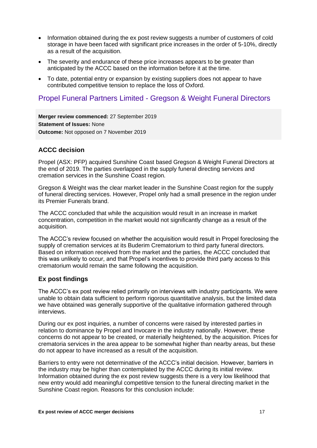- Information obtained during the ex post review suggests a number of customers of cold storage in have been faced with significant price increases in the order of 5-10%, directly as a result of the acquisition.
- The severity and endurance of these price increases appears to be greater than anticipated by the ACCC based on the information before it at the time.
- To date, potential entry or expansion by existing suppliers does not appear to have contributed competitive tension to replace the loss of Oxford.

# <span id="page-17-0"></span>Propel Funeral Partners Limited - Gregson & Weight Funeral Directors

**Merger review commenced:** 27 September 2019 **Statement of Issues:** None **Outcome:** Not opposed on 7 November 2019

# **ACCC decision**

Propel (ASX: PFP) acquired Sunshine Coast based Gregson & Weight Funeral Directors at the end of 2019. The parties overlapped in the supply funeral directing services and cremation services in the Sunshine Coast region.

Gregson & Weight was the clear market leader in the Sunshine Coast region for the supply of funeral directing services. However, Propel only had a small presence in the region under its Premier Funerals brand.

The ACCC concluded that while the acquisition would result in an increase in market concentration, competition in the market would not significantly change as a result of the acquisition.

The ACCC's review focused on whether the acquisition would result in Propel foreclosing the supply of cremation services at its Buderim Crematorium to third party funeral directors. Based on information received from the market and the parties, the ACCC concluded that this was unlikely to occur, and that Propel's incentives to provide third party access to this crematorium would remain the same following the acquisition.

## **Ex post findings**

The ACCC's ex post review relied primarily on interviews with industry participants. We were unable to obtain data sufficient to perform rigorous quantitative analysis, but the limited data we have obtained was generally supportive of the qualitative information gathered through interviews.

During our ex post inquiries, a number of concerns were raised by interested parties in relation to dominance by Propel and Invocare in the industry nationally. However, these concerns do not appear to be created, or materially heightened, by the acquisition. Prices for crematoria services in the area appear to be somewhat higher than nearby areas, but these do not appear to have increased as a result of the acquisition.

Barriers to entry were not determinative of the ACCC's initial decision. However, barriers in the industry may be higher than contemplated by the ACCC during its initial review. Information obtained during the ex post review suggests there is a very low likelihood that new entry would add meaningful competitive tension to the funeral directing market in the Sunshine Coast region. Reasons for this conclusion include: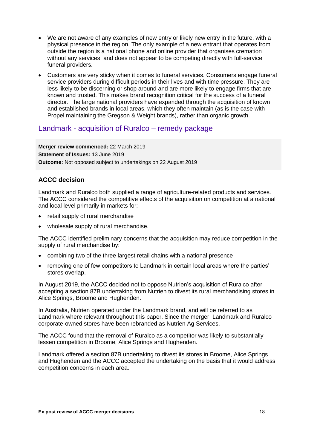- We are not aware of any examples of new entry or likely new entry in the future, with a physical presence in the region. The only example of a new entrant that operates from outside the region is a national phone and online provider that organises cremation without any services, and does not appear to be competing directly with full-service funeral providers.
- Customers are very sticky when it comes to funeral services. Consumers engage funeral service providers during difficult periods in their lives and with time pressure. They are less likely to be discerning or shop around and are more likely to engage firms that are known and trusted. This makes brand recognition critical for the success of a funeral director. The large national providers have expanded through the acquisition of known and established brands in local areas, which they often maintain (as is the case with Propel maintaining the Gregson & Weight brands), rather than organic growth.

# <span id="page-18-0"></span>Landmark - acquisition of Ruralco – remedy package

**Merger review commenced:** 22 March 2019 **Statement of Issues:** 13 June 2019 **Outcome:** Not opposed subject to undertakings on 22 August 2019

# **ACCC decision**

Landmark and Ruralco both supplied a range of agriculture-related products and services. The ACCC considered the competitive effects of the acquisition on competition at a national and local level primarily in markets for:

- retail supply of rural merchandise
- wholesale supply of rural merchandise.

The ACCC identified preliminary concerns that the acquisition may reduce competition in the supply of rural merchandise by:

- combining two of the three largest retail chains with a national presence
- removing one of few competitors to Landmark in certain local areas where the parties' stores overlap.

In August 2019, the ACCC decided not to oppose Nutrien's acquisition of Ruralco after accepting a section 87B undertaking from Nutrien to divest its rural merchandising stores in Alice Springs, Broome and Hughenden.

In Australia, Nutrien operated under the Landmark brand, and will be referred to as Landmark where relevant throughout this paper. Since the merger, Landmark and Ruralco corporate-owned stores have been rebranded as Nutrien Ag Services.

The ACCC found that the removal of Ruralco as a competitor was likely to substantially lessen competition in Broome, Alice Springs and Hughenden.

Landmark offered a section 87B undertaking to divest its stores in Broome, Alice Springs and Hughenden and the ACCC accepted the undertaking on the basis that it would address competition concerns in each area.